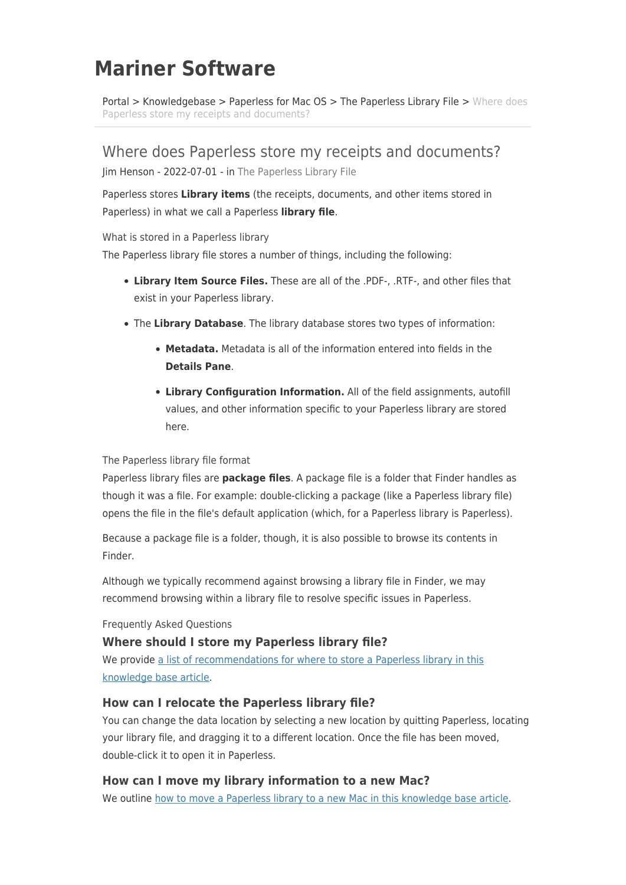# **Mariner Software**

[Portal](https://marinersoftware.deskpro.com/) > [Knowledgebase](https://marinersoftware.deskpro.com/kb) > [Paperless for Mac OS](https://marinersoftware.deskpro.com/kb/paperless-for-mac-os) > [The Paperless Library File](https://marinersoftware.deskpro.com/kb/the-paperless-library-file) > [Where does](https://marinersoftware.deskpro.com/kb/articles/where-does-paperless-store-my-receipts-and-documents) [Paperless store my receipts and documents?](https://marinersoftware.deskpro.com/kb/articles/where-does-paperless-store-my-receipts-and-documents)

Where does Paperless store my receipts and documents? Jim Henson - 2022-07-01 - in [The Paperless Library File](https://marinersoftware.deskpro.com/kb/the-paperless-library-file)

Paperless stores **Library items** (the receipts, documents, and other items stored in Paperless) in what we call a Paperless **library file**.

What is stored in a Paperless library

The Paperless library file stores a number of things, including the following:

- **Library Item Source Files.** These are all of the .PDF-, .RTF-, and other files that exist in your Paperless library.
- The **Library Database**. The library database stores two types of information:
	- **Metadata.** Metadata is all of the information entered into fields in the **Details Pane**.
	- **Library Configuration Information.** All of the field assignments, autofill values, and other information specific to your Paperless library are stored here.

#### The Paperless library file format

Paperless library files are **package files**. A package file is a folder that Finder handles as though it was a file. For example: double-clicking a package (like a Paperless library file) opens the file in the file's default application (which, for a Paperless library is Paperless).

Because a package file is a folder, though, it is also possible to browse its contents in Finder.

Although we typically recommend against browsing a library file in Finder, we may recommend browsing within a library file to resolve specific issues in Paperless.

Frequently Asked Questions

#### **Where should I store my Paperless library file?**

We provide [a list of recommendations for where to store a Paperless library in this](https://marinersoftware.deskpro.com/kb/articles/512-where-should-i-store-my-paperless-library-file) [knowledge base article](https://marinersoftware.deskpro.com/kb/articles/512-where-should-i-store-my-paperless-library-file).

#### **How can I relocate the Paperless library file?**

You can change the data location by selecting a new location by quitting Paperless, locating your library file, and dragging it to a different location. Once the file has been moved, double-click it to open it in Paperless.

#### **How can I move my library information to a new Mac?**

We outline [how to move a Paperless library to a new Mac in this knowledge base article.](https://marinersoftware.deskpro.com/kb/articles/584-how-do-i-transfer-my-paperless-library-to-another-mac)